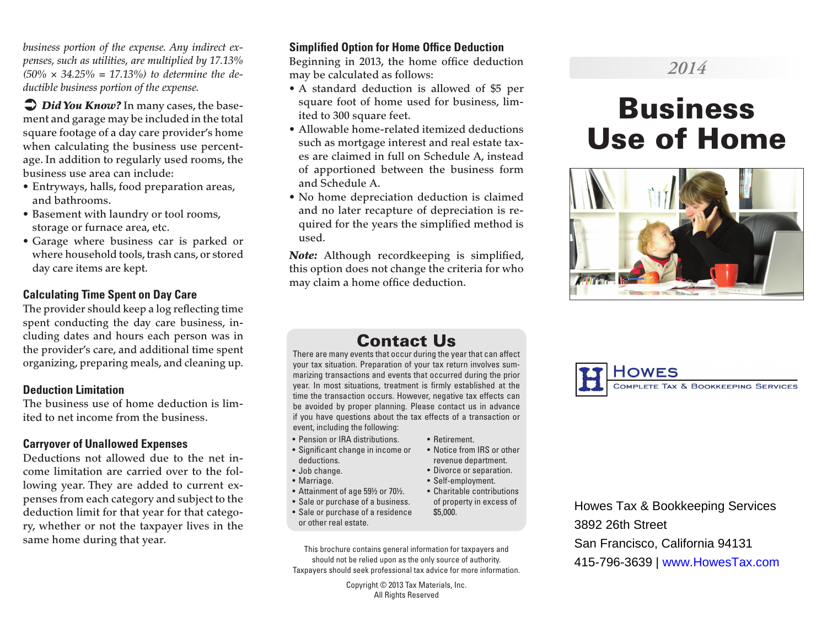*business portion of the expense. Any indirect expenses, such as utilities, are multiplied by 17.13% (50% × 34.25% = 17.13%) to determine the deductible business portion of the expense.*

 $\supseteq$  *Did You Know?* In many cases, the basement and garage may be included in the total square footage of a day care provider's home when calculating the business use percentage. In addition to regularly used rooms, the business use area can include:

- Entryways, halls, food preparation areas, and bathrooms.
- Basement with laundry or tool rooms, storage or furnace area, etc.
- Garage where business car is parked or where household tools, trash cans, or stored day care items are kept.

#### **Calculating Time Spent on Day Care**

The provider should keep a log reflecting time spent conducting the day care business, including dates and hours each person was in the provider's care, and additional time spent organizing, preparing meals, and cleaning up.

#### **Deduction Limitation**

The business use of home deduction is limited to net income from the business.

#### **Carryover of Unallowed Expenses**

Deductions not allowed due to the net income limitation are carried over to the following year. They are added to current expenses from each category and subject to the deduction limit for that year for that category, whether or not the taxpayer lives in the same home during that year.

#### **Simplified Option for Home Office Deduction**

Beginning in 2013, the home office deduction may be calculated as follows:

- A standard deduction is allowed of \$5 per square foot of home used for business, limited to 300 square feet.
- Allowable home-related itemized deductions such as mortgage interest and real estate taxes are claimed in full on Schedule A, instead of apportioned between the business form and Schedule A.
- No home depreciation deduction is claimed and no later recapture of depreciation is required for the years the simplified method is used.

*Note:* Although recordkeeping is simplified, this option does not change the criteria for who may claim a home office deduction.

# *2014*

# Business Use of Home



# Contact Us

There are many events that occur during the year that can affect your tax situation. Preparation of your tax return involves summarizing transactions and events that occurred during the prior year. In most situations, treatment is firmly established at the time the transaction occurs. However, negative tax effects can be avoided by proper planning. Please contact us in advance if you have questions about the tax effects of a transaction or event, including the following:

• Retirement.

\$5,000.

• Notice from IRS or other revenue department. • Divorce or separation. • Self-employment. • Charitable contributions of property in excess of

- Pension or IRA distributions.
- Significant change in income or deductions.
- Job change.
- Marriage.
- Attainment of age 59½ or 70½.
- Sale or purchase of a business.
- Sale or purchase of a residence or other real estate.
- This brochure contains general information for taxpayers and should not be relied upon as the only source of authority. Taxpayers should seek professional tax advice for more information.

Copyright © 2013 Tax Materials, Inc. All Rights Reserved



Howes Tax & Bookkeeping Services 3892 26th Street San Francisco, California 94131 415-796-3639 | www.HowesTax.com